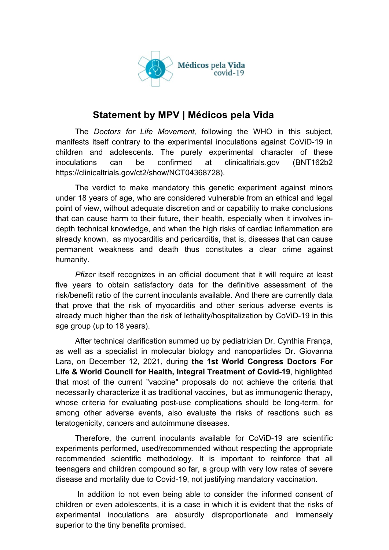

## **Statement by MPV | Médicos pela Vida**

The *Doctors for Life Movement,* following the WHO in this subject, manifests itself contrary to the experimental inoculations against CoViD-19 in children and adolescents. The purely experimental character of these inoculations can be confirmed at clinicaltrials.gov (BNT162b2 https://clinicaltrials.gov/ct2/show/NCT04368728).

The verdict to make mandatory this genetic experiment against minors under 18 years of age, who are considered vulnerable from an ethical and legal point of view, without adequate discretion and or capability to make conclusions that can cause harm to their future, their health, especially when it involves indepth technical knowledge, and when the high risks of cardiac inflammation are already known, as myocarditis and pericarditis, that is, diseases that can cause permanent weakness and death thus constitutes a clear crime against humanity.

*Pfizer* itself recognizes in an official document that it will require at least five years to obtain satisfactory data for the definitive assessment of the risk/benefit ratio of the current inoculants available. And there are currently data that prove that the risk of myocarditis and other serious adverse events is already much higher than the risk of lethality/hospitalization by CoViD-19 in this age group (up to 18 years).

After technical clarification summed up by pediatrician Dr. Cynthia França, as well as a specialist in molecular biology and nanoparticles Dr. Giovanna Lara, on December 12, 2021, during **the 1st World Congress Doctors For Life & World Council for Health, Integral Treatment of Covid-19**, highlighted that most of the current "vaccine" proposals do not achieve the criteria that necessarily characterize it as traditional vaccines, but as immunogenic therapy, whose criteria for evaluating post-use complications should be long-term, for among other adverse events, also evaluate the risks of reactions such as teratogenicity, cancers and autoimmune diseases.

Therefore, the current inoculants available for CoViD-19 are scientific experiments performed, used/recommended without respecting the appropriate recommended scientific methodology. It is important to reinforce that all teenagers and children compound so far, a group with very low rates of severe disease and mortality due to Covid-19, not justifying mandatory vaccination.

In addition to not even being able to consider the informed consent of children or even adolescents, it is a case in which it is evident that the risks of experimental inoculations are absurdly disproportionate and immensely superior to the tiny benefits promised.